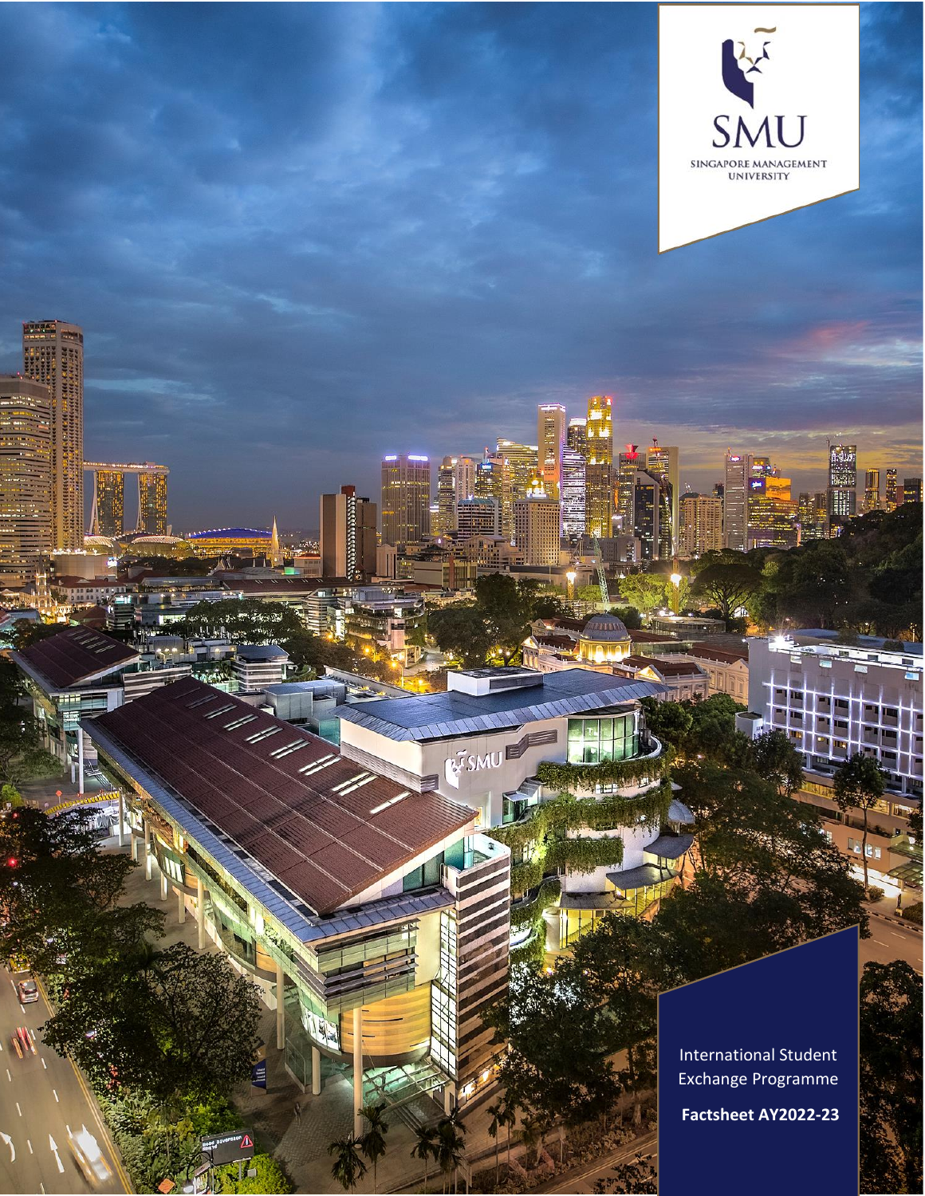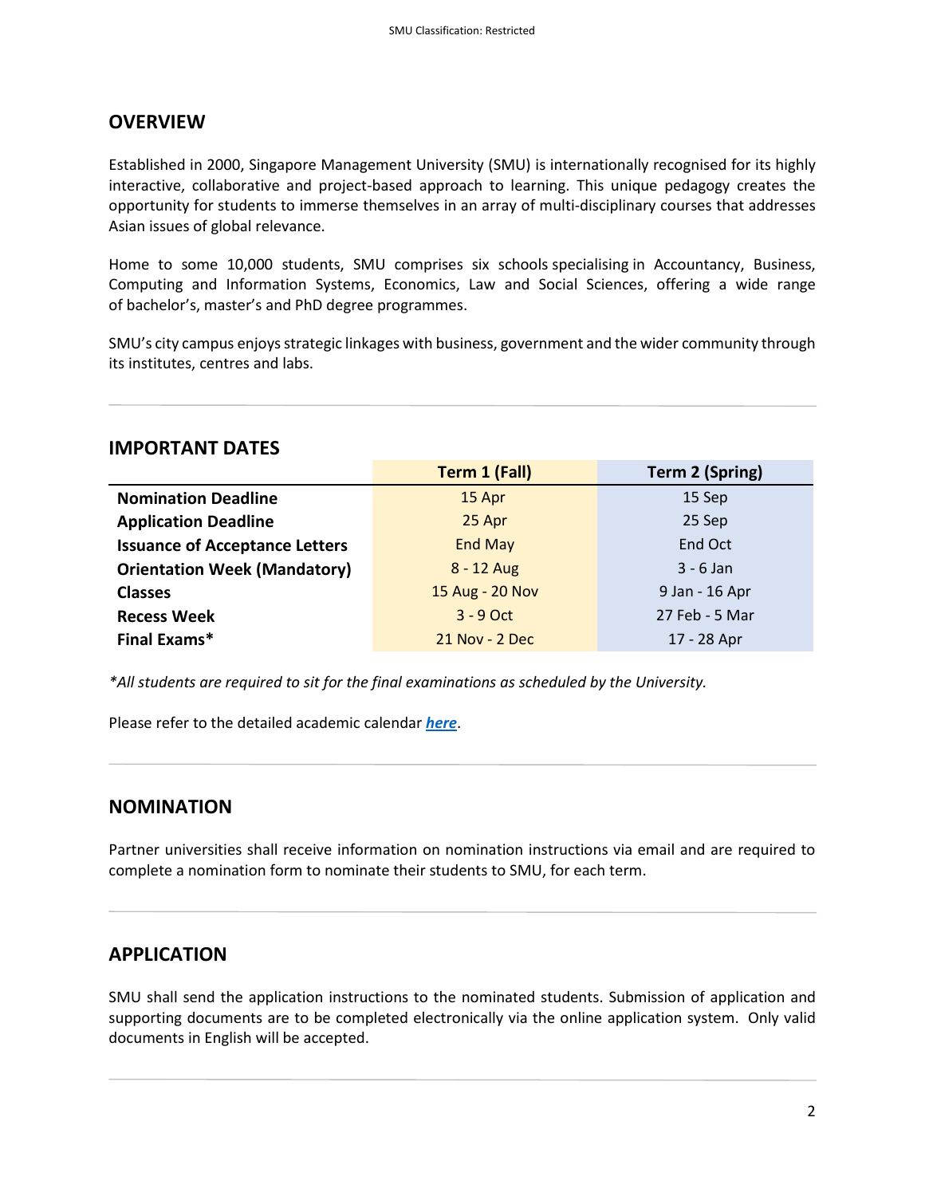## **OVERVIEW**

Established in 2000, Singapore Management University (SMU) is internationally recognised for its highly interactive, collaborative and project-based approach to learning. This unique pedagogy creates the opportunity for students to immerse themselves in an array of multi-disciplinary courses that addresses Asian issues of global relevance.

Home to some 10,000 students, SMU comprises six schools specialising in Accountancy, Business, Computing and Information Systems, Economics, Law and Social Sciences, offering a wide range of [bachelor's](https://admissions.smu.edu.sg/), [master's](https://www.smu.edu.sg/programmes/postgraduate) and [PhD degree programmes.](https://graduatestudies.smu.edu.sg/)

SMU's city campus enjoys strategic linkages with business, government and the wider community through its institutes, centres and labs.

#### **IMPORTANT DATES**

|                                       | <b>Term 1 (Fall)</b> | <b>Term 2 (Spring)</b> |
|---------------------------------------|----------------------|------------------------|
| <b>Nomination Deadline</b>            | 15 Apr               | 15 Sep                 |
| <b>Application Deadline</b>           | 25 Apr               | 25 Sep                 |
| <b>Issuance of Acceptance Letters</b> | <b>End May</b>       | End Oct                |
| <b>Orientation Week (Mandatory)</b>   | $8 - 12$ Aug         | $3 - 6$ Jan            |
| <b>Classes</b>                        | 15 Aug - 20 Nov      | 9 Jan - 16 Apr         |
| <b>Recess Week</b>                    | $3 - 9$ Oct          | 27 Feb - 5 Mar         |
| <b>Final Exams*</b>                   | 21 Nov - 2 Dec       | 17 - 28 Apr            |

*\*All students are required to sit for the final examinations as scheduled by the University.*

Please refer to the detailed academic calendar *[here](https://admissions.smu.edu.sg/admissions/academic-calendar)*.

### **NOMINATION**

Partner universities shall receive information on nomination instructions via email and are required to complete a nomination form to nominate their students to SMU, for each term.

### **APPLICATION**

SMU shall send the application instructions to the nominated students. Submission of application and supporting documents are to be completed electronically via the online application system. Only valid documents in English will be accepted.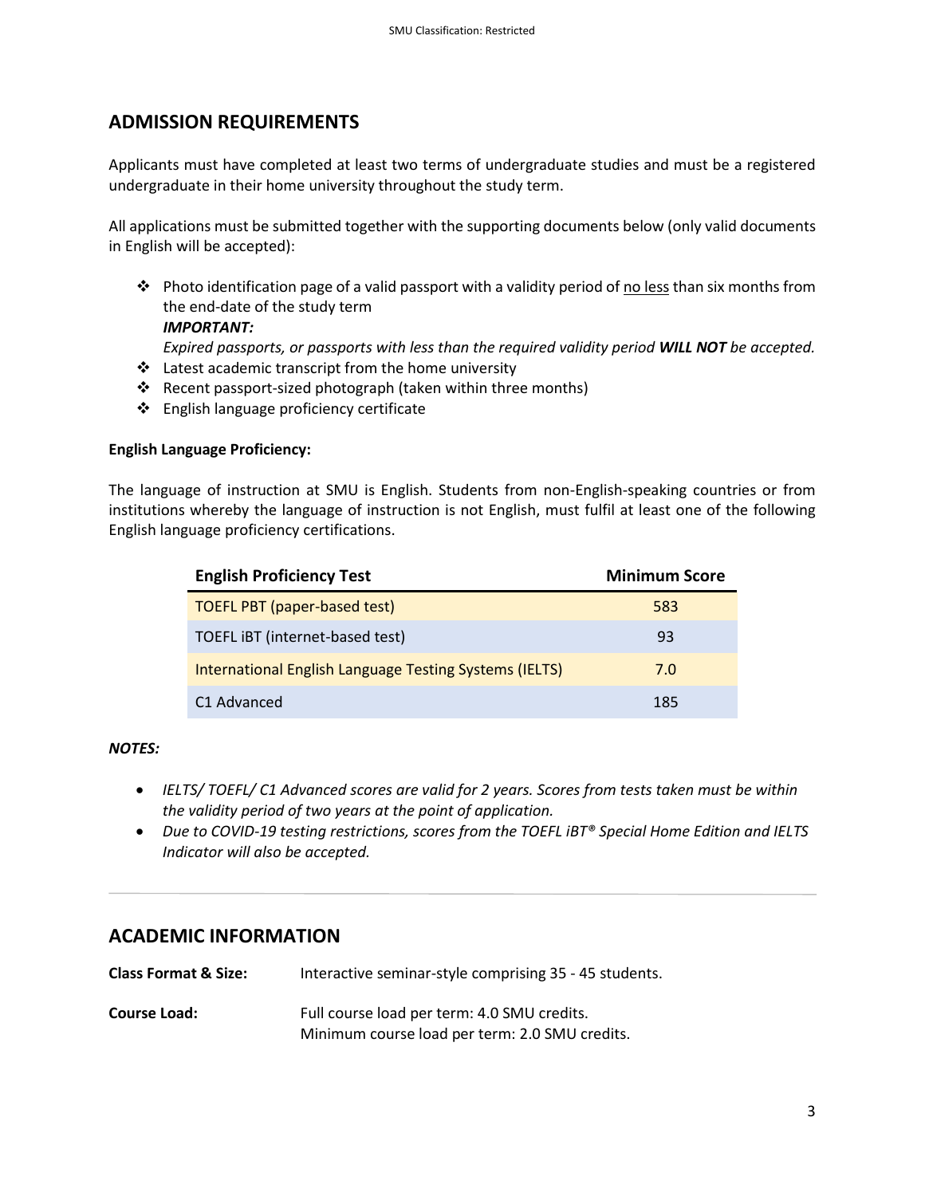# **ADMISSION REQUIREMENTS**

Applicants must have completed at least two terms of undergraduate studies and must be a registered undergraduate in their home university throughout the study term.

All applications must be submitted together with the supporting documents below (only valid documents in English will be accepted):

- ❖ Photo identification page of a valid passport with a validity period of no less than six months from the end-date of the study term *IMPORTANT: Expired passports, or passports with less than the required validity period WILL NOT be accepted.*
- ❖ Latest academic transcript from the home university
- ❖ Recent passport-sized photograph (taken within three months)
- ❖ English language proficiency certificate

#### **English Language Proficiency:**

The language of instruction at SMU is English. Students from non-English-speaking countries or from institutions whereby the language of instruction is not English, must fulfil at least one of the following English language proficiency certifications.

| <b>English Proficiency Test</b>                               | <b>Minimum Score</b> |
|---------------------------------------------------------------|----------------------|
| <b>TOEFL PBT (paper-based test)</b>                           | 583                  |
| TOEFL IBT (internet-based test)                               | 93                   |
| <b>International English Language Testing Systems (IELTS)</b> | 7.0                  |
| C <sub>1</sub> Advanced                                       | 185                  |

#### *NOTES:*

- *IELTS/ TOEFL/ C1 Advanced scores are valid for 2 years. Scores from tests taken must be within the validity period of two years at the point of application.*
- *Due to COVID-19 testing restrictions, scores from the TOEFL iBT® Special Home Edition and IELTS Indicator will also be accepted.*

## **ACADEMIC INFORMATION**

**Class Format & Size:** Interactive seminar-style comprising 35 - 45 students.

**Course Load:** Full course load per term: 4.0 SMU credits. Minimum course load per term: 2.0 SMU credits.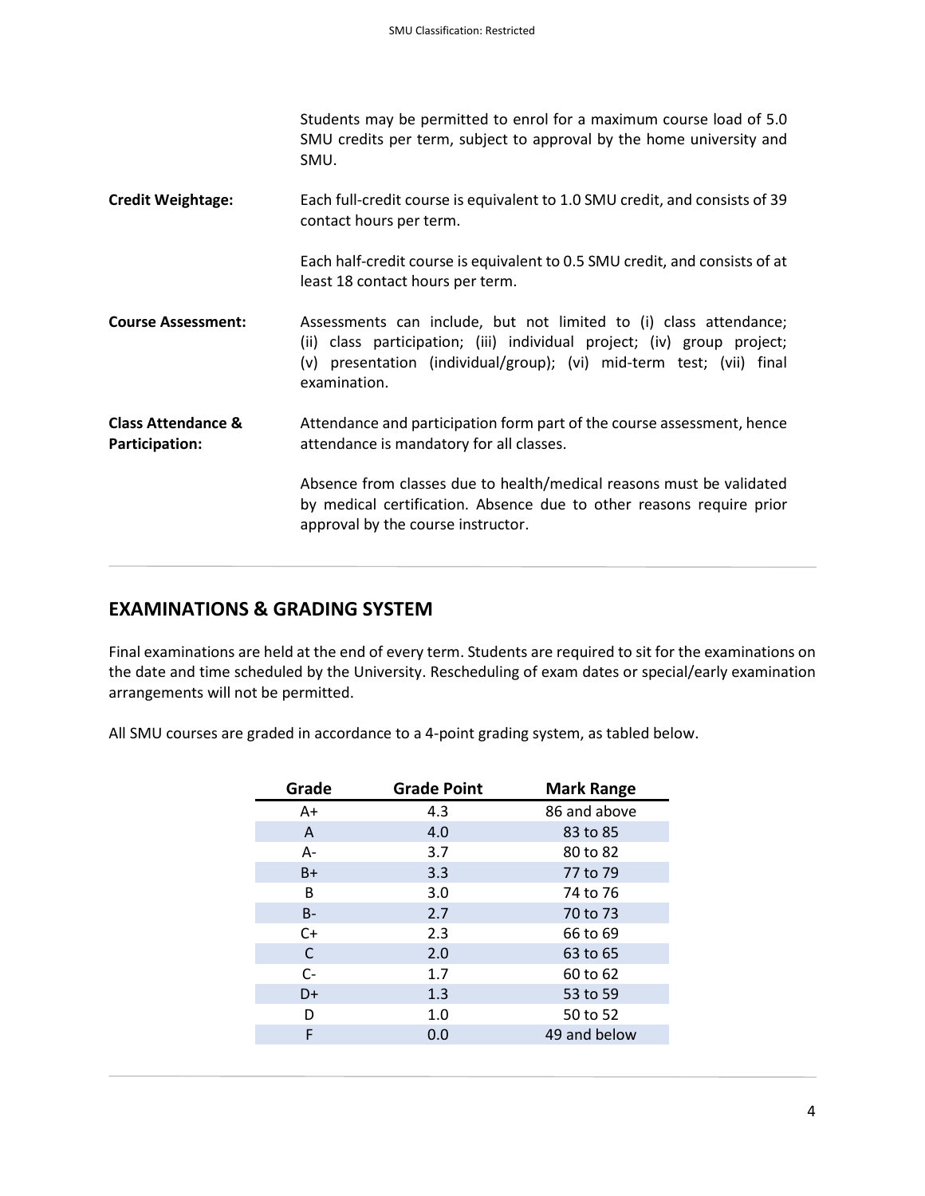|                                                 | Students may be permitted to enrol for a maximum course load of 5.0<br>SMU credits per term, subject to approval by the home university and<br>SMU.                                                                                  |
|-------------------------------------------------|--------------------------------------------------------------------------------------------------------------------------------------------------------------------------------------------------------------------------------------|
| <b>Credit Weightage:</b>                        | Each full-credit course is equivalent to 1.0 SMU credit, and consists of 39<br>contact hours per term.                                                                                                                               |
|                                                 | Each half-credit course is equivalent to 0.5 SMU credit, and consists of at<br>least 18 contact hours per term.                                                                                                                      |
| <b>Course Assessment:</b>                       | Assessments can include, but not limited to (i) class attendance;<br>(ii) class participation; (iii) individual project; (iv) group project;<br>(v) presentation (individual/group); (vi) mid-term test; (vii) final<br>examination. |
| <b>Class Attendance &amp;</b><br>Participation: | Attendance and participation form part of the course assessment, hence<br>attendance is mandatory for all classes.                                                                                                                   |
|                                                 | Absence from classes due to health/medical reasons must be validated<br>by medical certification. Absence due to other reasons require prior<br>approval by the course instructor.                                                   |

# **EXAMINATIONS & GRADING SYSTEM**

Final examinations are held at the end of every term. Students are required to sit for the examinations on the date and time scheduled by the University. Rescheduling of exam dates or special/early examination arrangements will not be permitted.

All SMU courses are graded in accordance to a 4-point grading system, as tabled below.

| Grade | <b>Grade Point</b> | <b>Mark Range</b> |
|-------|--------------------|-------------------|
| A+    | 4.3                | 86 and above      |
| A     | 4.0                | 83 to 85          |
| $A -$ | 3.7                | 80 to 82          |
| B+    | 3.3                | 77 to 79          |
| B     | 3.0                | 74 to 76          |
| $B -$ | 2.7                | 70 to 73          |
| $C+$  | 2.3                | 66 to 69          |
| C     | 2.0                | 63 to 65          |
| $C -$ | 1.7                | 60 to 62          |
| D+    | 1.3                | 53 to 59          |
| D     | 1.0                | 50 to 52          |
| F     | 0.0                | 49 and below      |
|       |                    |                   |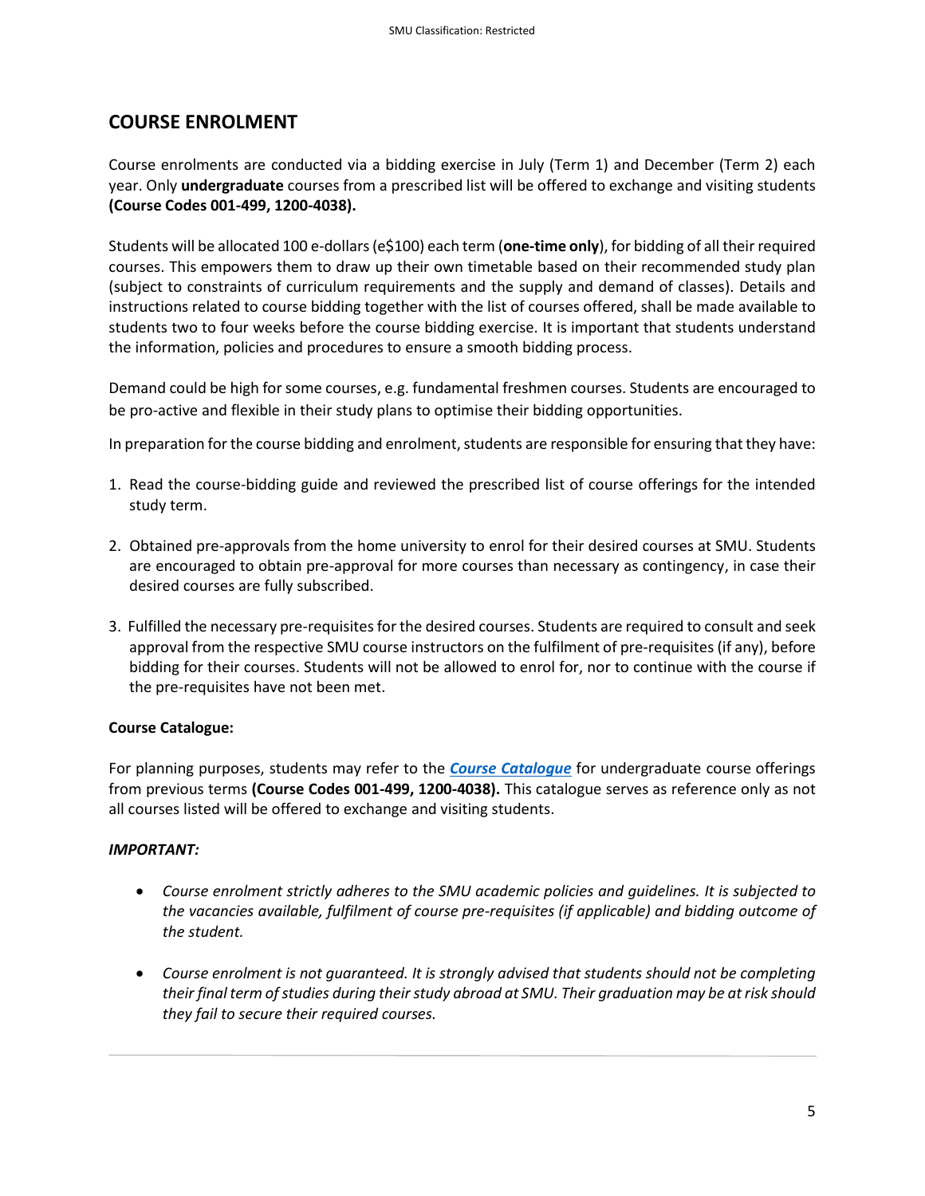# **COURSE ENROLMENT**

Course enrolments are conducted via a bidding exercise in July (Term 1) and December (Term 2) each year. Only **undergraduate** courses from a prescribed list will be offered to exchange and visiting students **(Course Codes 001-499, 1200-4038).**

Students will be allocated 100 e-dollars(e\$100) each term (**one-time only**), for bidding of all their required courses. This empowers them to draw up their own timetable based on their recommended study plan (subject to constraints of curriculum requirements and the supply and demand of classes). Details and instructions related to course bidding together with the list of courses offered, shall be made available to students two to four weeks before the course bidding exercise. It is important that students understand the information, policies and procedures to ensure a smooth bidding process.

Demand could be high for some courses, e.g. fundamental freshmen courses. Students are encouraged to be pro-active and flexible in their study plans to optimise their bidding opportunities.

In preparation for the course bidding and enrolment, students are responsible for ensuring that they have:

- 1. Read the course-bidding guide and reviewed the prescribed list of course offerings for the intended study term.
- 2. Obtained pre-approvals from the home university to enrol for their desired courses at SMU. Students are encouraged to obtain pre-approval for more courses than necessary as contingency, in case their desired courses are fully subscribed.
- 3. Fulfilled the necessary pre-requisites for the desired courses. Students are required to consult and seek approval from the respective SMU course instructors on the fulfilment of pre-requisites (if any), before bidding for their courses. Students will not be allowed to enrol for, nor to continue with the course if the pre-requisites have not been met.

#### **Course Catalogue:**

For planning purposes, students may refer to the *[Course Catalogue](https://publiceservices.smu.edu.sg/psc/ps/EMPLOYEE/HRMS/c/SIS_CR.SIS_CLASS_SEARCH.GBL)* for undergraduate course offerings from previous terms **(Course Codes 001-499, 1200-4038).** This catalogue serves as reference only as not all courses listed will be offered to exchange and visiting students.

#### *IMPORTANT:*

- *Course enrolment strictly adheres to the SMU academic policies and guidelines. It is subjected to the vacancies available, fulfilment of course pre-requisites (if applicable) and bidding outcome of the student.*
- *Course enrolment is not guaranteed. It is strongly advised that students should not be completing their final term of studies during their study abroad at SMU. Their graduation may be at risk should they fail to secure their required courses.*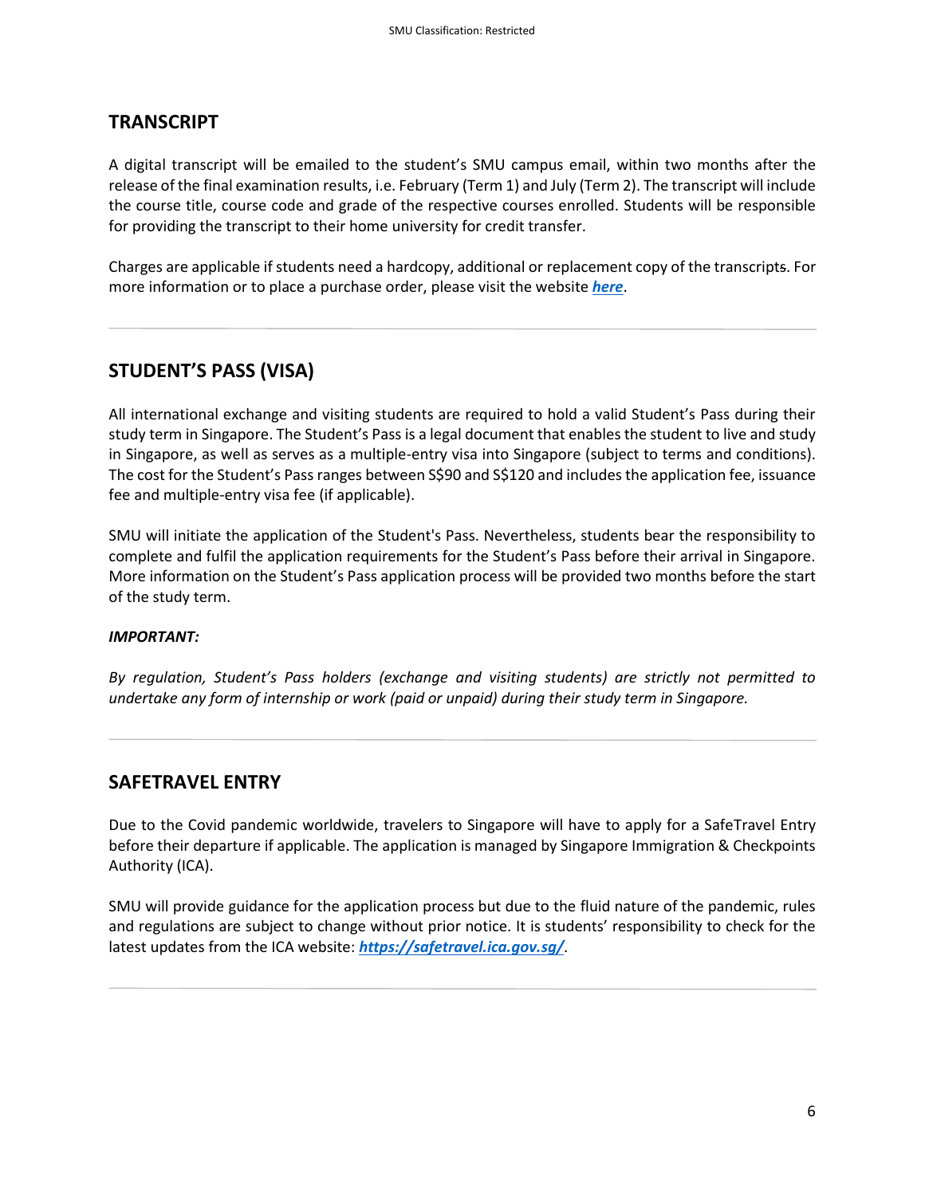#### **TRANSCRIPT**

A digital transcript will be emailed to the student's SMU campus email, within two months after the release of the final examination results, i.e. February (Term 1) and July (Term 2). The transcript will include the course title, course code and grade of the respective courses enrolled. Students will be responsible for providing the transcript to their home university for credit transfer.

Charges are applicable if students need a hardcopy, additional or replacement copy of the transcripts. For more information or to place a purchase order, please visit the website *[here](https://alumni.smu.edu.sg/benefits/replacement-scroll/order-additional-transcripts)*.

## **STUDENT'S PASS (VISA)**

All international exchange and visiting students are required to hold a valid Student's Pass during their study term in Singapore. The Student's Pass is a legal document that enables the student to live and study in Singapore, as well as serves as a multiple-entry visa into Singapore (subject to terms and conditions). The cost for the Student's Pass ranges between S\$90 and S\$120 and includes the application fee, issuance fee and multiple-entry visa fee (if applicable).

SMU will initiate the application of the Student's Pass. Nevertheless, students bear the responsibility to complete and fulfil the application requirements for the Student's Pass before their arrival in Singapore. More information on the Student's Pass application process will be provided two months before the start of the study term.

#### *IMPORTANT:*

*By regulation, Student's Pass holders (exchange and visiting students) are strictly not permitted to undertake any form of internship or work (paid or unpaid) during their study term in Singapore.* 

### **SAFETRAVEL ENTRY**

Due to the Covid pandemic worldwide, travelers to Singapore will have to apply for a SafeTravel Entry before their departure if applicable. The application is managed by Singapore Immigration & Checkpoints Authority (ICA).

SMU will provide guidance for the application process but due to the fluid nature of the pandemic, rules and regulations are subject to change without prior notice. It is students' responsibility to check for the latest updates from the ICA website: *<https://safetravel.ica.gov.sg/>*.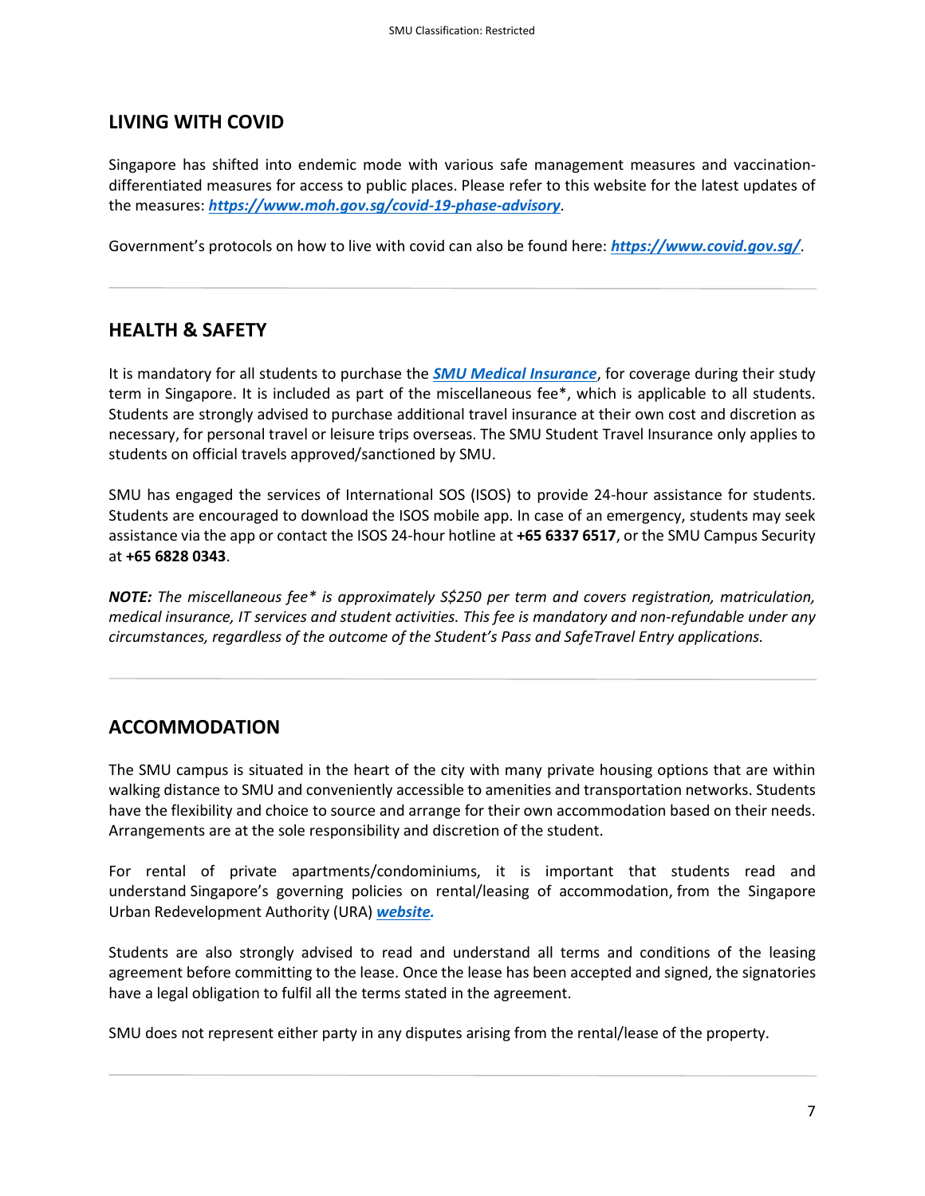# **LIVING WITH COVID**

Singapore has shifted into endemic mode with various safe management measures and vaccinationdifferentiated measures for access to public places. Please refer to this website for the latest updates of the measures: *<https://www.moh.gov.sg/covid-19-phase-advisory>*.

Government's protocols on how to live with covid can also be found here: *<https://www.covid.gov.sg/>*.

## **HEALTH & SAFETY**

It is mandatory for all students to purchase the *[SMU Medical Insurance](https://www.smu.edu.sg/campus-life/student-services/student-insurance-coverage/medical-insurance)*, for coverage during their study term in Singapore. It is included as part of the miscellaneous fee\*, which is applicable to all students. Students are strongly advised to purchase additional travel insurance at their own cost and discretion as necessary, for personal travel or leisure trips overseas. The SMU Student Travel Insurance only applies to students on official travels approved/sanctioned by SMU.

SMU has engaged the services of International SOS (ISOS) to provide 24-hour assistance for students. Students are encouraged to download the ISOS mobile app. In case of an emergency, students may seek assistance via the app or contact the ISOS 24-hour hotline at **+65 6337 6517**, or the SMU Campus Security at **+65 6828 0343**.

*NOTE: The miscellaneous fee\* is approximately S\$250 per term and covers registration, matriculation, medical insurance, IT services and student activities. This fee is mandatory and non-refundable under any circumstances, regardless of the outcome of the Student's Pass and SafeTravel Entry applications.*

## **ACCOMMODATION**

The SMU campus is situated in the heart of the city with many private housing options that are within walking distance to SMU and conveniently accessible to amenities and transportation networks. Students have the flexibility and choice to source and arrange for their own accommodation based on their needs. Arrangements are at the sole responsibility and discretion of the student.

For rental of private apartments/condominiums, it is important that students read and understand Singapore's governing policies on rental/leasing of accommodation, from the Singapore Urban Redevelopment Authority (URA) *[website.](https://www.ura.gov.sg/Corporate/Property/Residential/Renting-Property)* 

Students are also strongly advised to read and understand all terms and conditions of the leasing agreement before committing to the lease. Once the lease has been accepted and signed, the signatories have a legal obligation to fulfil all the terms stated in the agreement.

SMU does not represent either party in any disputes arising from the rental/lease of the property.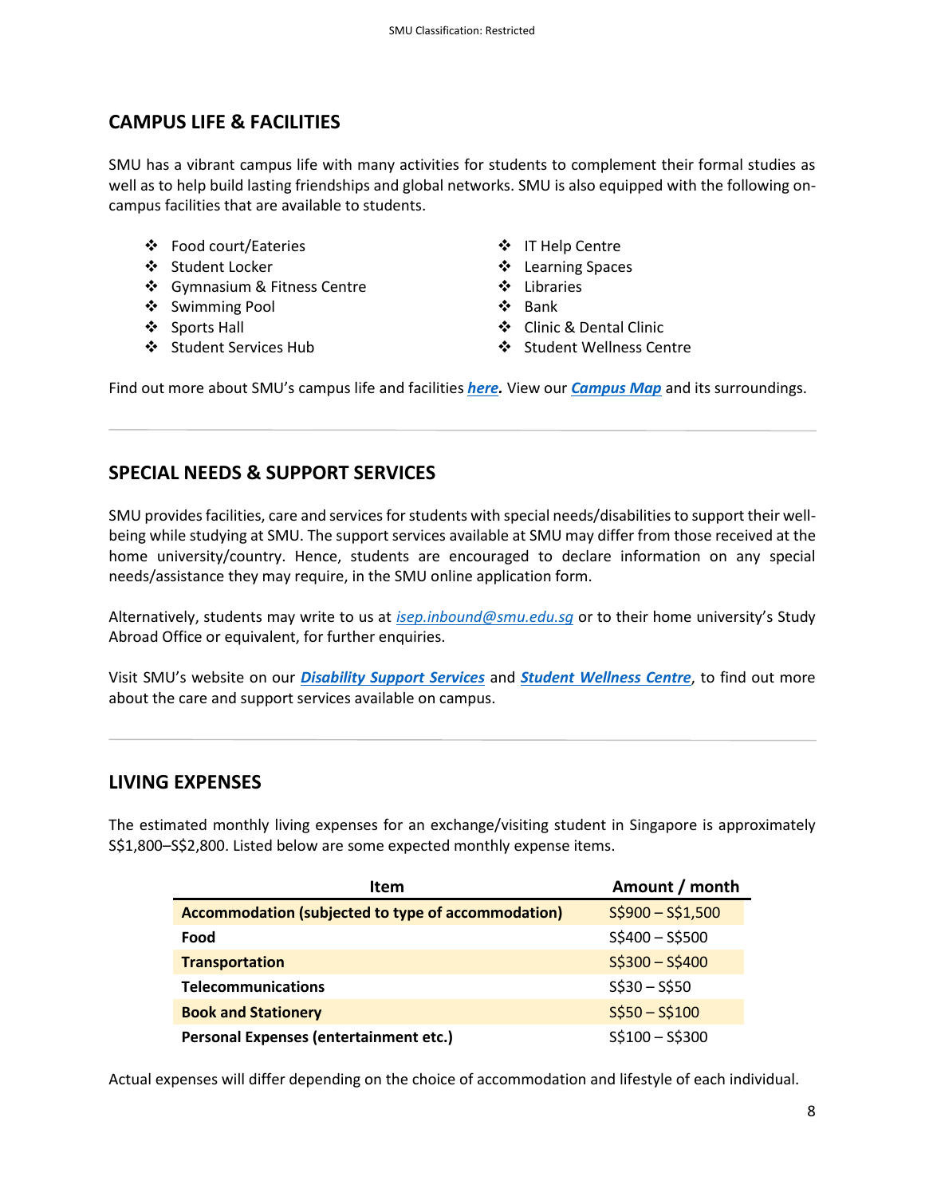# **CAMPUS LIFE & FACILITIES**

SMU has a vibrant campus life with many activities for students to complement their formal studies as well as to help build lasting friendships and global networks. SMU is also equipped with the following oncampus facilities that are available to students.

- ❖ Food court/Eateries
- ❖ Student Locker
- ❖ Gymnasium & Fitness Centre ❖ Libraries
- ❖ Swimming Pool
- ❖ Sports Hall
- 
- ❖ IT Help Centre
- ❖ Learning Spaces
- 
- ❖ Bank
- ❖ Clinic & Dental Clinic
- ❖ Student Services Hub ❖ Student Wellness Centre

Find out more about SMU's campus life and facilities *[here.](https://www.smu.edu.sg/campus-life)* View our *[Campus Map](https://maps.smu.edu.sg/)* and its surroundings.

### **SPECIAL NEEDS & SUPPORT SERVICES**

SMU provides facilities, care and services for students with special needs/disabilities to support their wellbeing while studying at SMU. The support services available at SMU may differ from those received at the home university/country. Hence, students are encouraged to declare information on any special needs/assistance they may require, in the SMU online application form.

Alternatively, students may write to us at *[isep.inbound@smu.edu.sg](mailto:isep.inbound@smu.edu.sg)* or to their home university's Study Abroad Office or equivalent, for further enquiries.

Visit SMU's website on our *[Disability Support Services](https://www.smu.edu.sg/campus-life/disability-services)* and *[Student Wellness Centre](https://www.smu.edu.sg/campus-life/student-wellness)*, to find out more about the care and support services available on campus.

### **LIVING EXPENSES**

The estimated monthly living expenses for an exchange/visiting student in Singapore is approximately S\$1,800–S\$2,800. Listed below are some expected monthly expense items.

| <b>Item</b>                                        | Amount / month  |
|----------------------------------------------------|-----------------|
| Accommodation (subjected to type of accommodation) | $S$900-S$1,500$ |
| Food                                               | $$5400 - $5500$ |
| <b>Transportation</b>                              | $S$300 - S$400$ |
| <b>Telecommunications</b>                          | $S$30 - S$50$   |
| <b>Book and Stationery</b>                         | $S$50-S$100$    |
| Personal Expenses (entertainment etc.)             | $S$100 - S$300$ |

Actual expenses will differ depending on the choice of accommodation and lifestyle of each individual.